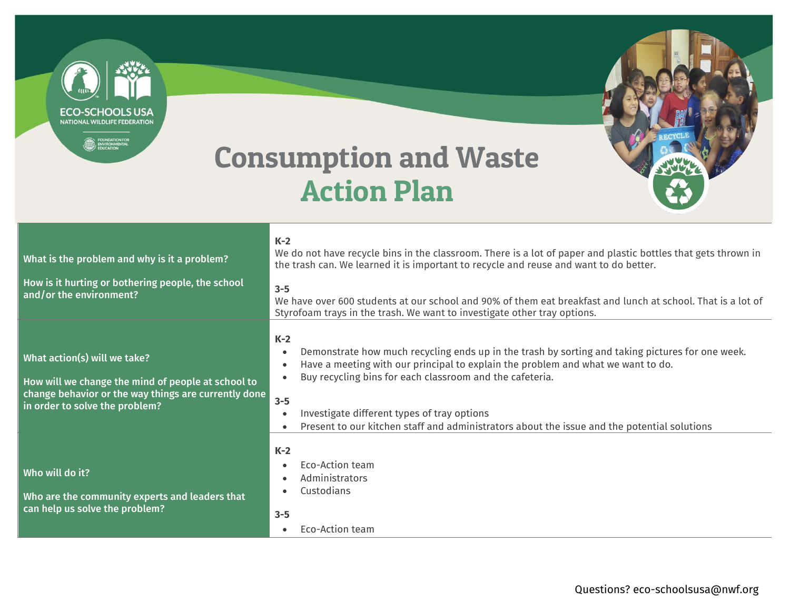**ECO-SCHOOLS USA** NATIONAL WILDLIFE FEDERATION

**EQUINDATION FOR** 



## Consumption and Waste Action Plan

| What is the problem and why is it a problem?<br>How is it hurting or bothering people, the school<br>and/or the environment?                                                 | $K-2$<br>We do not have recycle bins in the classroom. There is a lot of paper and plastic bottles that gets thrown in<br>the trash can. We learned it is important to recycle and reuse and want to do better.<br>$3 - 5$<br>We have over 600 students at our school and 90% of them eat breakfast and lunch at school. That is a lot of<br>Styrofoam trays in the trash. We want to investigate other tray options.                                     |
|------------------------------------------------------------------------------------------------------------------------------------------------------------------------------|-----------------------------------------------------------------------------------------------------------------------------------------------------------------------------------------------------------------------------------------------------------------------------------------------------------------------------------------------------------------------------------------------------------------------------------------------------------|
| What action(s) will we take?<br>How will we change the mind of people at school to<br>change behavior or the way things are currently done<br>in order to solve the problem? | $K-2$<br>Demonstrate how much recycling ends up in the trash by sorting and taking pictures for one week.<br>$\bullet$<br>Have a meeting with our principal to explain the problem and what we want to do.<br>$\bullet$<br>Buy recycling bins for each classroom and the cafeteria.<br>$3 - 5$<br>Investigate different types of tray options<br>Present to our kitchen staff and administrators about the issue and the potential solutions<br>$\bullet$ |
| Who will do it?<br>Who are the community experts and leaders that<br>can help us solve the problem?                                                                          | $K-2$<br><b>Fco-Action team</b><br>Administrators<br>$\bullet$<br>Custodians<br>$3 - 5$<br>Eco-Action team<br>$\bullet$                                                                                                                                                                                                                                                                                                                                   |